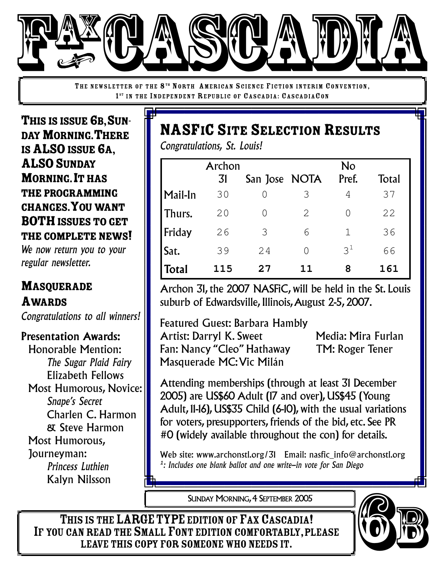

THE NEWSLETTER OF THE 8<sup>TH</sup> NORTH AMERICAN SCIENCE FICTION INTERIM CONVENTION, 1<sup>ST</sup> IN THE INDEPENDENT REPUBLIC OF CASCADIA: CASCADIACON

THIS IS ISSUE 6B, SUN-DAY MORNING. THERE IS ALSO ISSUE 6A, **ALSO SUNDAY MORNING. IT HAS** THE PROGRAMMING CHANGES.YOUWANT **BOTH** ISSUES TO GET THE COMPLETE NEWS!

*We now return you to your regular newsletter.*

## MASQUERADE AWARDS

*Congratulations to all winners!*

### Presentation Awards:

Honorable Mention: *The Sugar Plaid Fairy* Elizabeth Fellows Most Humorous, Novice: *Snape's Secret* Charlen C. Harmon & Steve Harmon Most Humorous, Journeyman: *Princess Luthien* Kalyn Nilsson

# **NASFIC SITE SELECTION RESULTS**

*Congratulations, St. Louis!*

|              | Archon |               |    | No               |            |
|--------------|--------|---------------|----|------------------|------------|
|              | 31     | San Jose NOTA |    | Pref.            | Total      |
| Mail-In      | 30     |               | 3  | 4                | 37         |
| Thurs.       | 20     |               | 2  | $\left( \right)$ | 22         |
| Friday       | 26     | 3             | 6  | $\mathbf 1$      | 36         |
| Sat.         | 39     | 24            |    | $3^1$            | 66         |
| <b>Total</b> | 115    | 27            | 11 | 8                | <b>161</b> |

Archon 31, the 2007 NASFiC, will be held in the St. Louis suburb of Edwardsville, Illinois, August 2-5, 2007.

Featured Guest: Barbara Hambly Artist: Darryl K. Sweet Media: Mira Furlan Fan: Nancy "Cleo" Hathaway TM: Roger Tener Masquerade MC:Vic Milán

Attending memberships (through at least 31 December 2005) are US\$60 Adult (17 and over), US\$45 (Young Adult, 11-16), US\$35 Child (6-10), with the usual variations for voters, presupporters, friends of the bid, etc. See PR #0 (widely available throughout the con) for details.

Web site: www.archonstl.org/31 Email: nasfic info@archonstl.org *1 : Includes one blank ballot and one write-in vote for San Diego*

SUNDAY MORNING, 4 SEPTEMBER 2005

6 5

THIS IS THE LARGE TYPE EDITION OF FAX CASCADIA! IF YOU CAN READ THE SMALL FONT EDITION COMFORTABLY, PLEASE LEAVE THIS COPY FOR SOMEONE WHO NEEDS IT.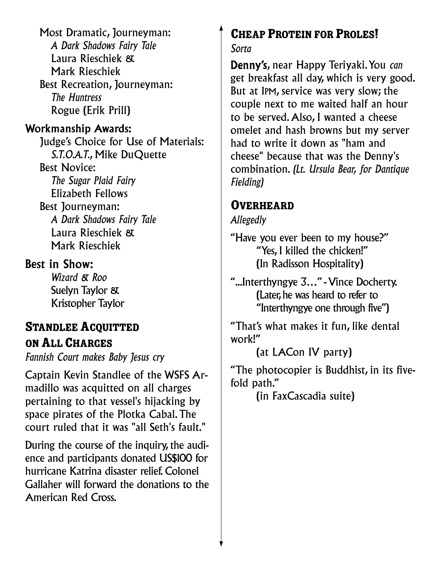Most Dramatic, Journeyman: *A Dark Shadows Fairy Tale* Laura Rieschiek & Mark Rieschiek Best Recreation, Journeyman: *The Huntress* Rogue (Erik Prill)

### Workmanship Awards:

Judge's Choice for Use of Materials: *S.T.O.A.T.*, Mike DuQuette Best Novice: *The Sugar Plaid Fairy* Elizabeth Fellows Best Journeyman: *A Dark Shadows Fairy Tale* Laura Rieschiek & Mark Rieschiek

### Best in Show:

*Wizard & Roo* Suelyn Taylor & Kristopher Taylor

### **STANDLEE ACQUITTED** ONALLCHARGES

*Fannish Court makes Baby Jesus cry*

Captain Kevin Standlee of the WSFS Armadillo was acquitted on all charges pertaining to that vessel's hijacking by space pirates of the Plotka Cabal.The court ruled that it was "all Seth's fault."

During the course of the inquiry, the audience and participants donated US\$100 for hurricane Katrina disaster relief. Colonel Gallaher will forward the donations to the American Red Cross.

# **CHEAP PROTEIN FOR PROLES!**

*Sorta*

Denny's, near Happy Teriyaki.You *can* get breakfast all day, which is very good. But at 1PM, service was very slow; the couple next to me waited half an hour to be served.Also, I wanted a cheese omelet and hash browns but my server had to write it down as "ham and cheese" because that was the Denny's combination. *(Lt. Ursula Bear, for Dantique Fielding)*

### **OVERHEARD**

#### *Allegedly*

"Have you ever been to my house?" "Yes, I killed the chicken!" (In Radisson Hospitality)

"...Interthyngye 3…" -Vince Docherty. (Later, he was heard to refer to "Interthyngye one through five")

"That's what makes it fun, like dental work!"

(at LACon IV party)

"The photocopier is Buddhist, in its fivefold path."

(in FaxCascadia suite)